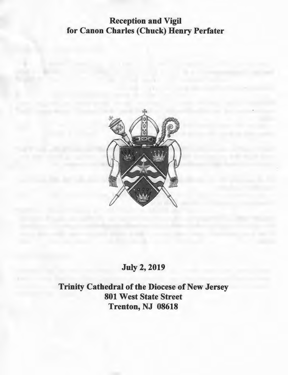# **Reception and Vigil for Canon Charles (Chuck) Henry Perfater**



## **July 2, 2019**

**Trinity Cathedral of the Diocese of New Jersey 801 West State Street Trenton, NJ 08618**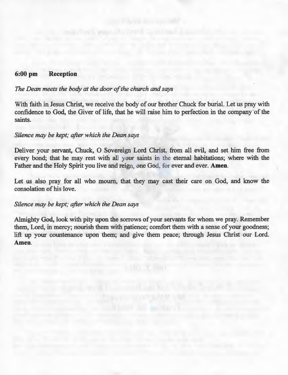### **6:00 pm Reception**

## *The Dean meets the body at the door of the church and says*

With faith in Jesus Christ, we receive the body of our brother Chuck for burial. Let us pray with confidence to God, the Giver of life, that he will raise him to perfection in the company 'of the saints.

### *Silence may be kept; after which the Dean says*

Deliver your servant, Chuck, 0 Sovereign Lord Christ, from all evil, and set him free from every bond; that he may rest with all your saints in the eternal habitations; where with the Father and the Holy Spirit you live and reign, one God, for ever and ever. **Amen.** 

Let us also pray for all who mourn, that they may cast their care on God, and know the consolation of his love.

### *Silence may be kept; after which the Dean says*

Almighty God, look with pity upon the sorrows of your servants for whom we pray. Remember them, Lord, in mercy; nourish them with patience; comfort them with a sense of your goodness; lift up your countenance upon them; and give them peace; through Jesus Christ our Lord. **Amen.**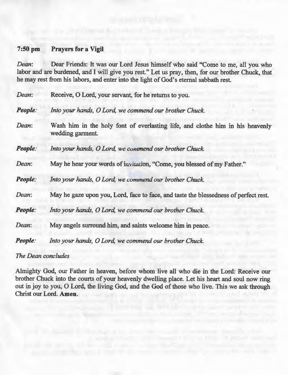### **7:50 pm Prayers for a Vigil**

*Dean:* Dear Friends: It was our Lord Jesus himself who said "Come to me, all you who labor and are burdened, and I will give you rest." Let us pray, then, for our brother Chuck, that he may rest from his labors, and enter into the light of God's eternal sabbath rest.

*Dean*: Receive, O Lord, your servant, for he returns to you.

*People: Into your hands, 0 Lord, we commend our brother Chuck.* 

*Dean:* Wash him in the holy font of everlasting life, and clothe him in his heavenly wedding garment.

*People: Into your hands, 0 Lord, we commend our brother Chuck.* 

*Dean:* May he hear your words of invitation, "Come, you blessed of my Father."

*People: Into your hands, 0 Lord, we commend our brother Chuck.* 

*Dean:* May he gaze upon you, Lord, face to face, and taste the blessedness of perfect rest.

*People: Into your hands, 0 Lord, we commend our brother Chuck.* 

*Dean:* May angels surround him, and saints welcome him in peace.

*People: Into your hands, 0 Lord, we commend our brother Chuck.* 

#### *The Dean concludes*

Almighty God, our Father in heaven, before whom live all who die in the Lord: Receive our brother Chuck into the courts of your heavenly dwelling place. Let his heart and soul now ring out in joy to you, 0 Lord, the living God, and the God of those who live. This we ask through Christ our Lord. **Amen.**